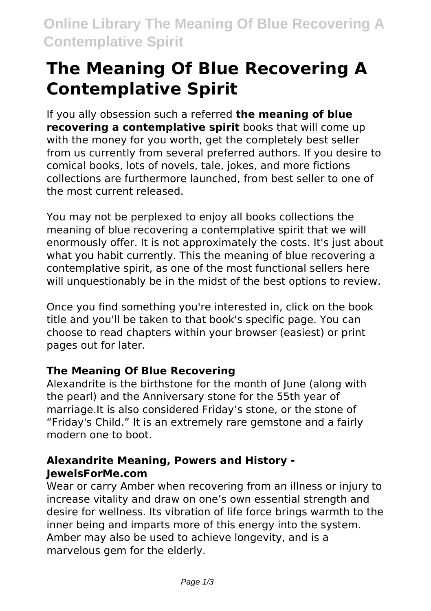# **The Meaning Of Blue Recovering A Contemplative Spirit**

If you ally obsession such a referred **the meaning of blue recovering a contemplative spirit** books that will come up with the money for you worth, get the completely best seller from us currently from several preferred authors. If you desire to comical books, lots of novels, tale, jokes, and more fictions collections are furthermore launched, from best seller to one of the most current released.

You may not be perplexed to enjoy all books collections the meaning of blue recovering a contemplative spirit that we will enormously offer. It is not approximately the costs. It's just about what you habit currently. This the meaning of blue recovering a contemplative spirit, as one of the most functional sellers here will unquestionably be in the midst of the best options to review.

Once you find something you're interested in, click on the book title and you'll be taken to that book's specific page. You can choose to read chapters within your browser (easiest) or print pages out for later.

### **The Meaning Of Blue Recovering**

Alexandrite is the birthstone for the month of June (along with the pearl) and the Anniversary stone for the 55th year of marriage.It is also considered Friday's stone, or the stone of "Friday's Child." It is an extremely rare gemstone and a fairly modern one to boot.

### **Alexandrite Meaning, Powers and History - JewelsForMe.com**

Wear or carry Amber when recovering from an illness or injury to increase vitality and draw on one's own essential strength and desire for wellness. Its vibration of life force brings warmth to the inner being and imparts more of this energy into the system. Amber may also be used to achieve longevity, and is a marvelous gem for the elderly.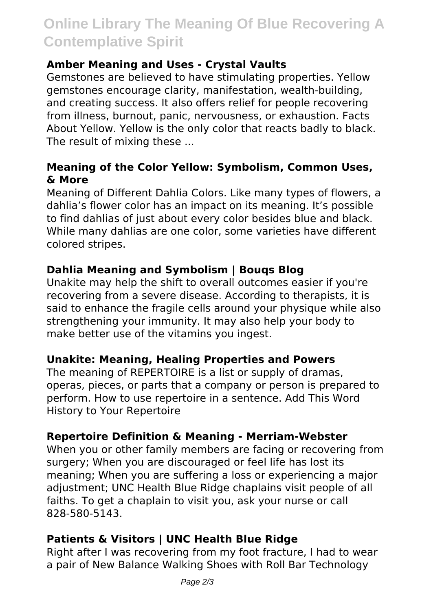# **Online Library The Meaning Of Blue Recovering A Contemplative Spirit**

#### **Amber Meaning and Uses - Crystal Vaults**

Gemstones are believed to have stimulating properties. Yellow gemstones encourage clarity, manifestation, wealth-building, and creating success. It also offers relief for people recovering from illness, burnout, panic, nervousness, or exhaustion. Facts About Yellow. Yellow is the only color that reacts badly to black. The result of mixing these ...

#### **Meaning of the Color Yellow: Symbolism, Common Uses, & More**

Meaning of Different Dahlia Colors. Like many types of flowers, a dahlia's flower color has an impact on its meaning. It's possible to find dahlias of just about every color besides blue and black. While many dahlias are one color, some varieties have different colored stripes.

### **Dahlia Meaning and Symbolism | Bouqs Blog**

Unakite may help the shift to overall outcomes easier if you're recovering from a severe disease. According to therapists, it is said to enhance the fragile cells around your physique while also strengthening your immunity. It may also help your body to make better use of the vitamins you ingest.

#### **Unakite: Meaning, Healing Properties and Powers**

The meaning of REPERTOIRE is a list or supply of dramas, operas, pieces, or parts that a company or person is prepared to perform. How to use repertoire in a sentence. Add This Word History to Your Repertoire

### **Repertoire Definition & Meaning - Merriam-Webster**

When you or other family members are facing or recovering from surgery; When you are discouraged or feel life has lost its meaning; When you are suffering a loss or experiencing a major adjustment: UNC Health Blue Ridge chaplains visit people of all faiths. To get a chaplain to visit you, ask your nurse or call 828-580-5143.

### **Patients & Visitors | UNC Health Blue Ridge**

Right after I was recovering from my foot fracture, I had to wear a pair of New Balance Walking Shoes with Roll Bar Technology